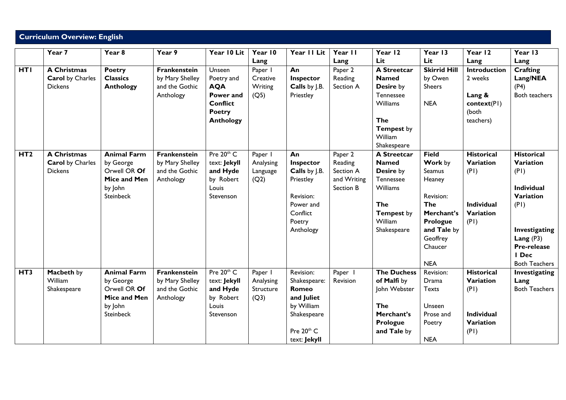## **Curriculum Overview: English**

|                 | $\overline{Y}$ ear 7    | Year <sub>8</sub>         | Year 9          | Year 10 Lit        | Year 10   | Year II Lit              | Year II             | Year 12            | Year 13             | Year 12           | Year 13              |
|-----------------|-------------------------|---------------------------|-----------------|--------------------|-----------|--------------------------|---------------------|--------------------|---------------------|-------------------|----------------------|
|                 |                         |                           |                 |                    | Lang      |                          | Lang                | Lit                | Lit                 | Lang              | Lang                 |
| <b>HTI</b>      | <b>A Christmas</b>      | <b>Poetry</b>             | Frankenstein    | Unseen             | Paper I   | An                       | Paper 2             | <b>A Streetcar</b> | <b>Skirrid Hill</b> | Introduction      | <b>Crafting</b>      |
|                 | <b>Carol</b> by Charles | <b>Classics</b>           | by Mary Shelley | Poetry and         | Creative  | Inspector                | Reading             | <b>Named</b>       | by Owen             | 2 weeks           | Lang/NEA             |
|                 | <b>Dickens</b>          | <b>Anthology</b>          | and the Gothic  | <b>AQA</b>         | Writing   | Calls by J.B.            | Section A           | Desire by          | <b>Sheers</b>       |                   | (P4)                 |
|                 |                         |                           | Anthology       | Power and          | (Q5)      | Priestley                |                     | Tennessee          |                     | Lang &            | Both teachers        |
|                 |                         |                           |                 | <b>Conflict</b>    |           |                          |                     | Williams           | <b>NEA</b>          | context(PI)       |                      |
|                 |                         |                           |                 | <b>Poetry</b>      |           |                          |                     |                    |                     | (both             |                      |
|                 |                         |                           |                 | <b>Anthology</b>   |           |                          |                     | <b>The</b>         |                     | teachers)         |                      |
|                 |                         |                           |                 |                    |           |                          |                     | <b>Tempest by</b>  |                     |                   |                      |
|                 |                         |                           |                 |                    |           |                          |                     | William            |                     |                   |                      |
|                 |                         |                           |                 |                    |           |                          |                     | Shakespeare        |                     |                   |                      |
| HT2             | <b>A Christmas</b>      | <b>Animal Farm</b>        | Frankenstein    | Pre 20th C         | Paper I   | An                       | Paper 2             | <b>A Streetcar</b> | <b>Field</b>        | <b>Historical</b> | <b>Historical</b>    |
|                 | <b>Carol</b> by Charles | by George                 | by Mary Shelley | text: Jekyll       | Analysing | Inspector                | Reading             | <b>Named</b>       | Work by             | Variation         | Variation            |
|                 | <b>Dickens</b>          | Orwell OR Of              | and the Gothic  | and Hyde           | Language  | Calls by J.B.            | Section A           | Desire by          | <b>Seamus</b>       | (PI)              | (PI)                 |
|                 |                         | Mice and Men              | Anthology       | by Robert          | (Q2)      | Priestley                | and Writing         | Tennessee          | Heaney              |                   |                      |
|                 |                         | by John                   |                 | Louis              |           |                          | Section B           | Williams           |                     |                   | Individual           |
|                 |                         | <b>Steinbeck</b>          |                 | Stevenson          |           | Revision:                |                     |                    | Revision:           |                   | Variation            |
|                 |                         |                           |                 |                    |           | Power and                |                     | <b>The</b>         | <b>The</b>          | <b>Individual</b> | (PI)                 |
|                 |                         |                           |                 |                    |           | Conflict                 |                     | <b>Tempest by</b>  | Merchant's          | Variation         |                      |
|                 |                         |                           |                 |                    |           | Poetry                   |                     | William            | Prologue            | (PI)              |                      |
|                 |                         |                           |                 |                    |           | Anthology                |                     | Shakespeare        | and Tale by         |                   | Investigating        |
|                 |                         |                           |                 |                    |           |                          |                     |                    | Geoffrey            |                   | Lang $(P3)$          |
|                 |                         |                           |                 |                    |           |                          |                     |                    | Chaucer             |                   | Pre-release          |
|                 |                         |                           |                 |                    |           |                          |                     |                    |                     |                   | I Dec                |
|                 |                         |                           |                 | Pre 20th C         |           |                          |                     |                    | <b>NEA</b>          | <b>Historical</b> | <b>Both Teachers</b> |
| HT <sub>3</sub> | Macbeth by<br>William   | <b>Animal Farm</b>        | Frankenstein    |                    | Paper I   | Revision:                | Paper  <br>Revision | <b>The Duchess</b> | Revision:           | Variation         | Investigating        |
|                 |                         | by George<br>Orwell OR Of | by Mary Shelley | text: Jekyll       | Analysing | Shakespeare:             |                     | of Malfi by        | Drama               |                   | Lang                 |
|                 | Shakespeare             | Mice and Men              | and the Gothic  | and Hyde           | Structure | <b>Romeo</b>             |                     | John Webster       | <b>Texts</b>        | (PI)              | <b>Both Teachers</b> |
|                 |                         | by John                   | Anthology       | by Robert<br>Louis | (Q3)      | and Juliet<br>by William |                     | The                | Unseen              |                   |                      |
|                 |                         | <b>Steinbeck</b>          |                 |                    |           |                          |                     | Merchant's         | Prose and           | Individual        |                      |
|                 |                         |                           |                 | Stevenson          |           | Shakespeare              |                     | Prologue           |                     | Variation         |                      |
|                 |                         |                           |                 |                    |           | Pre 20th C               |                     | and Tale by        | Poetry              | (PI)              |                      |
|                 |                         |                           |                 |                    |           |                          |                     |                    | <b>NEA</b>          |                   |                      |
|                 |                         |                           |                 |                    |           | text: Jekyll             |                     |                    |                     |                   |                      |